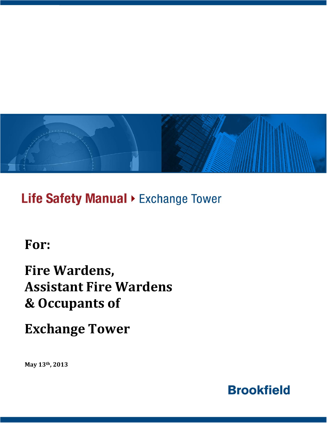

Life Safety Manual > Exchange Tower

**For:**

# **Fire Wardens, Assistant Fire Wardens & Occupants of**

**Exchange Tower**

**May 13th, 2013**

**Brookfield**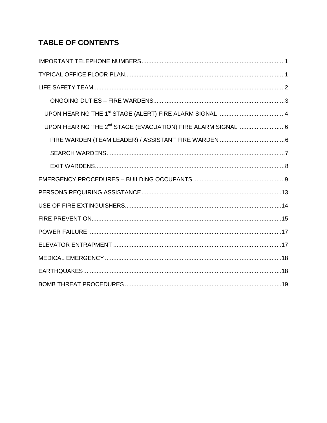# **TABLE OF CONTENTS**

| UPON HEARING THE 2 <sup>nd</sup> STAGE (EVACUATION) FIRE ALARM SIGNAL  6 |
|--------------------------------------------------------------------------|
|                                                                          |
|                                                                          |
|                                                                          |
|                                                                          |
|                                                                          |
|                                                                          |
|                                                                          |
|                                                                          |
|                                                                          |
|                                                                          |
|                                                                          |
|                                                                          |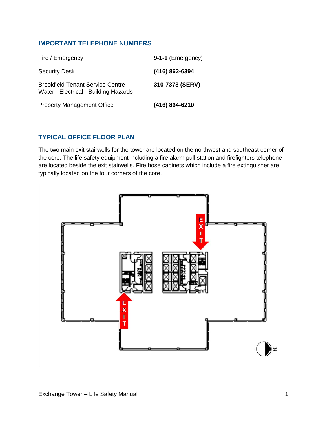### <span id="page-2-0"></span>**IMPORTANT TELEPHONE NUMBERS**

| Fire / Emergency                                                                 | 9-1-1 (Emergency) |
|----------------------------------------------------------------------------------|-------------------|
| <b>Security Desk</b>                                                             | (416) 862-6394    |
| <b>Brookfield Tenant Service Centre</b><br>Water - Electrical - Building Hazards | 310-7378 (SERV)   |
| <b>Property Management Office</b>                                                | (416) 864-6210    |

### <span id="page-2-1"></span>**TYPICAL OFFICE FLOOR PLAN**

The two main exit stairwells for the tower are located on the northwest and southeast corner of the core. The life safety equipment including a fire alarm pull station and firefighters telephone are located beside the exit stairwells. Fire hose cabinets which include a fire extinguisher are typically located on the four corners of the core.

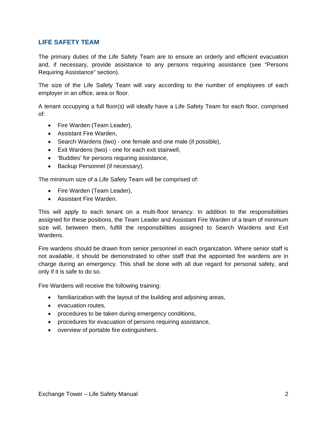### <span id="page-3-0"></span>**LIFE SAFETY TEAM**

The primary duties of the Life Safety Team are to ensure an orderly and efficient evacuation and, if necessary, provide assistance to any persons requiring assistance (see "Persons Requiring Assistance" section).

The size of the Life Safety Team will vary according to the number of employees of each employer in an office, area or floor.

A tenant occupying a full floor(s) will ideally have a Life Safety Team for each floor, comprised of:

- Fire Warden (Team Leader),
- Assistant Fire Warden,
- Search Wardens (two) one female and one male (if possible),
- Exit Wardens (two) one for each exit stairwell,
- 'Buddies' for persons requiring assistance,
- Backup Personnel (if necessary).

The minimum size of a Life Safety Team will be comprised of:

- Fire Warden (Team Leader),
- Assistant Fire Warden.

This will apply to each tenant on a multi-floor tenancy. In addition to the responsibilities assigned for these positions, the Team Leader and Assistant Fire Warden of a team of minimum size will, between them, fulfill the responsibilities assigned to Search Wardens and Exit Wardens.

Fire wardens should be drawn from senior personnel in each organization. Where senior staff is not available, it should be demonstrated to other staff that the appointed fire wardens are in charge during an emergency. This shall be done with all due regard for personal safety, and only if it is safe to do so.

Fire Wardens will receive the following training:

- familiarization with the layout of the building and adjoining areas,
- evacuation routes,
- procedures to be taken during emergency conditions,
- procedures for evacuation of persons requiring assistance,
- overview of portable fire extinguishers.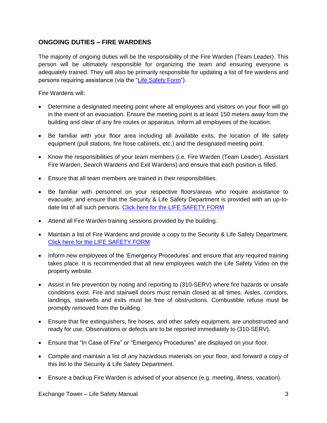### <span id="page-4-0"></span>**ONGOING DUTIES – FIRE WARDENS**

The majority of ongoing duties will be the responsibility of the Fire Warden (Team Leader). This person will be ultimately responsible for organizing the team and ensuring everyone is adequately trained. They will also be primarily responsible for updating a list of fire wardens and persons requiring assistance (via the ["Life Safety Form"](http://www.brookfieldofficeproperties.com/_Global/25/documents/relatedlinks/2412.pdf)).

Fire Wardens will:

- Determine a designated meeting point where all employees and visitors on your floor will go in the event of an evacuation. Ensure the meeting point is at least 150 meters away from the building and clear of any fire routes or apparatus. Inform all employees of the location.
- Be familiar with your floor area including all available exits, the location of life safety equipment (pull stations, fire hose cabinets, etc.) and the designated meeting point.
- Know the responsibilities of your team members (i.e. Fire Warden (Team Leader), Assistant Fire Warden, Search Wardens and Exit Wardens) and ensure that each position is filled.
- Ensure that all team members are trained in their responsibilities.
- Be familiar with personnel on your respective floors/areas who require assistance to evacuate, and ensure that the Security & Life Safety Department is provided with an up-to-date list of all such persons. [Click here for the LIFE SAFETY FORM](http://www.brookfieldofficeproperties.com/_Global/25/documents/relatedlinks/2412.pdf)
- Attend all Fire Warden training sessions provided by the building.
- Maintain a list of Fire Wardens and provide a copy to the Security & Life Safety Department. [Click here for the LIFE SAFETY FORM](http://www.brookfieldofficeproperties.com/_Global/25/documents/relatedlinks/2412.pdf)
- Inform new employees of the 'Emergency Procedures' and ensure that any required training takes place. It is recommended that all new employees watch the Life Safety Video on the property website.
- Assist in fire prevention by noting and reporting to (310-SERV) where fire hazards or unsafe conditions exist. Fire and stairwell doors must remain closed at all times. Aisles, corridors, landings, stairwells and exits must be free of obstructions. Combustible refuse must be promptly removed from the building.
- Ensure that fire extinguishers, fire hoses, and other safety equipment, are unobstructed and ready for use. Observations or defects are to be reported immediately to (310-SERV).
- Ensure that "In Case of Fire" or "Emergency Procedures" are displayed on your floor.
- Compile and maintain a list of any hazardous materials on your floor, and forward a copy of this list to the Security & Life Safety Department.
- Ensure a backup Fire Warden is advised of your absence (e.g. meeting, illness, vacation).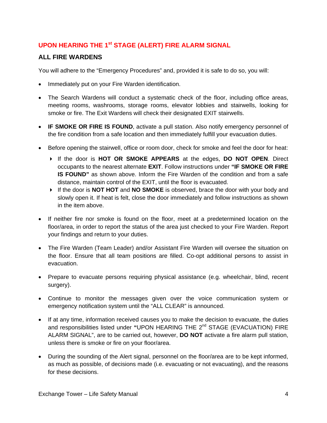# <span id="page-5-0"></span>**UPON HEARING THE 1<sup>st</sup> STAGE (ALERT) FIRE ALARM SIGNAL**

### **ALL FIRE WARDENS**

You will adhere to the "Emergency Procedures" and, provided it is safe to do so, you will:

- Immediately put on your Fire Warden identification.
- The Search Wardens will conduct a systematic check of the floor, including office areas, meeting rooms, washrooms, storage rooms, elevator lobbies and stairwells, looking for smoke or fire. The Exit Wardens will check their designated EXIT stairwells.
- **IF SMOKE OR FIRE IS FOUND**, activate a pull station. Also notify emergency personnel of the fire condition from a safe location and then immediately fulfill your evacuation duties.
- Before opening the stairwell, office or room door, check for smoke and feel the door for heat:
	- If the door is **HOT OR SMOKE APPEARS** at the edges, **DO NOT OPEN**. Direct occupants to the nearest alternate **EXIT**. Follow instructions under **"IF SMOKE OR FIRE IS FOUND"** as shown above. Inform the Fire Warden of the condition and from a safe distance, maintain control of the EXIT, until the floor is evacuated.
	- If the door is **NOT HOT** and **NO SMOKE** is observed, brace the door with your body and slowly open it. If heat is felt, close the door immediately and follow instructions as shown in the item above.
- If neither fire nor smoke is found on the floor, meet at a predetermined location on the floor/area, in order to report the status of the area just checked to your Fire Warden. Report your findings and return to your duties.
- The Fire Warden (Team Leader) and/or Assistant Fire Warden will oversee the situation on the floor. Ensure that all team positions are filled. Co-opt additional persons to assist in evacuation.
- Prepare to evacuate persons requiring physical assistance (e.g. wheelchair, blind, recent surgery).
- Continue to monitor the messages given over the voice communication system or emergency notification system until the "ALL CLEAR" is announced.
- If at any time, information received causes you to make the decision to evacuate, the duties and responsibilities listed under **"**UPON HEARING THE 2nd STAGE (EVACUATION) FIRE ALARM SIGNAL", are to be carried out, however, **DO NOT** activate a fire alarm pull station, unless there is smoke or fire on your floor/area.
- During the sounding of the Alert signal, personnel on the floor/area are to be kept informed, as much as possible, of decisions made (i.e. evacuating or not evacuating), and the reasons for these decisions.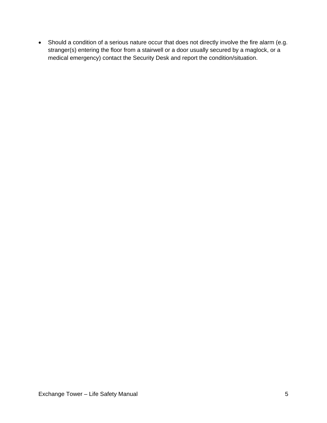Should a condition of a serious nature occur that does not directly involve the fire alarm (e.g. stranger(s) entering the floor from a stairwell or a door usually secured by a maglock, or a medical emergency) contact the Security Desk and report the condition/situation.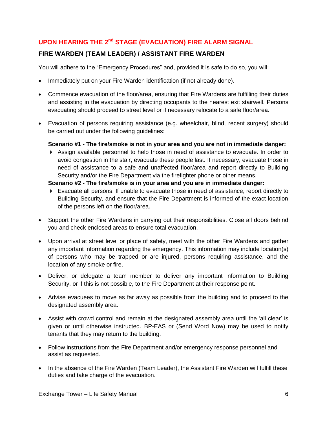# <span id="page-7-0"></span>**UPON HEARING THE 2nd STAGE (EVACUATION) FIRE ALARM SIGNAL**

# <span id="page-7-1"></span>**FIRE WARDEN (TEAM LEADER) / ASSISTANT FIRE WARDEN**

You will adhere to the "Emergency Procedures" and, provided it is safe to do so, you will:

- Immediately put on your Fire Warden identification (if not already done).
- Commence evacuation of the floor/area, ensuring that Fire Wardens are fulfilling their duties and assisting in the evacuation by directing occupants to the nearest exit stairwell. Persons evacuating should proceed to street level or if necessary relocate to a safe floor/area.
- Evacuation of persons requiring assistance (e.g. wheelchair, blind, recent surgery) should be carried out under the following guidelines:

#### **Scenario #1 - The fire/smoke is not in your area and you are not in immediate danger:**

 Assign available personnel to help those in need of assistance to evacuate. In order to avoid congestion in the stair, evacuate these people last. If necessary, evacuate those in need of assistance to a safe and unaffected floor/area and report directly to Building Security and/or the Fire Department via the firefighter phone or other means.

#### **Scenario #2 - The fire/smoke is in your area and you are in immediate danger:**

- Evacuate all persons. If unable to evacuate those in need of assistance, report directly to Building Security, and ensure that the Fire Department is informed of the exact location of the persons left on the floor/area.
- Support the other Fire Wardens in carrying out their responsibilities. Close all doors behind you and check enclosed areas to ensure total evacuation.
- Upon arrival at street level or place of safety, meet with the other Fire Wardens and gather any important information regarding the emergency. This information may include location(s) of persons who may be trapped or are injured, persons requiring assistance, and the location of any smoke or fire.
- Deliver, or delegate a team member to deliver any important information to Building Security, or if this is not possible, to the Fire Department at their response point.
- Advise evacuees to move as far away as possible from the building and to proceed to the designated assembly area.
- Assist with crowd control and remain at the designated assembly area until the 'all clear' is given or until otherwise instructed. BP-EAS or (Send Word Now) may be used to notify tenants that they may return to the building.
- Follow instructions from the Fire Department and/or emergency response personnel and assist as requested.
- In the absence of the Fire Warden (Team Leader), the Assistant Fire Warden will fulfill these duties and take charge of the evacuation.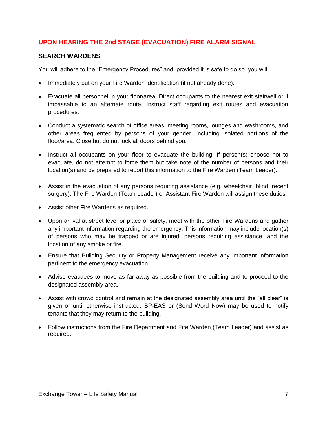### **UPON HEARING THE 2nd STAGE (EVACUATION) FIRE ALARM SIGNAL**

### <span id="page-8-0"></span>**SEARCH WARDENS**

You will adhere to the "Emergency Procedures" and, provided it is safe to do so, you will:

- Immediately put on your Fire Warden identification (if not already done).
- Evacuate all personnel in your floor/area. Direct occupants to the nearest exit stairwell or if impassable to an alternate route. Instruct staff regarding exit routes and evacuation procedures.
- Conduct a systematic search of office areas, meeting rooms, lounges and washrooms, and other areas frequented by persons of your gender, including isolated portions of the floor/area. Close but do not lock all doors behind you.
- Instruct all occupants on your floor to evacuate the building. If person(s) choose not to evacuate, do not attempt to force them but take note of the number of persons and their location(s) and be prepared to report this information to the Fire Warden (Team Leader).
- Assist in the evacuation of any persons requiring assistance (e.g. wheelchair, blind, recent surgery). The Fire Warden (Team Leader) or Assistant Fire Warden will assign these duties.
- Assist other Fire Wardens as required.
- Upon arrival at street level or place of safety, meet with the other Fire Wardens and gather any important information regarding the emergency. This information may include location(s) of persons who may be trapped or are injured, persons requiring assistance, and the location of any smoke or fire.
- Ensure that Building Security or Property Management receive any important information pertinent to the emergency evacuation.
- Advise evacuees to move as far away as possible from the building and to proceed to the designated assembly area.
- Assist with crowd control and remain at the designated assembly area until the "all clear" is given or until otherwise instructed. BP-EAS or (Send Word Now) may be used to notify tenants that they may return to the building.
- Follow instructions from the Fire Department and Fire Warden (Team Leader) and assist as required.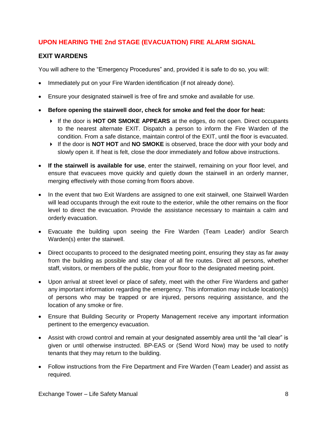# **UPON HEARING THE 2nd STAGE (EVACUATION) FIRE ALARM SIGNAL**

### <span id="page-9-0"></span>**EXIT WARDENS**

You will adhere to the "Emergency Procedures" and, provided it is safe to do so, you will:

- Immediately put on your Fire Warden identification (if not already done).
- Ensure your designated stairwell is free of fire and smoke and available for use.
- **Before opening the stairwell door, check for smoke and feel the door for heat:** 
	- If the door is **HOT OR SMOKE APPEARS** at the edges, do not open. Direct occupants to the nearest alternate EXIT. Dispatch a person to inform the Fire Warden of the condition. From a safe distance, maintain control of the EXIT, until the floor is evacuated.
	- If the door is **NOT HOT** and **NO SMOKE** is observed, brace the door with your body and slowly open it. If heat is felt, close the door immediately and follow above instructions.
- **If the stairwell is available for use**, enter the stairwell, remaining on your floor level, and ensure that evacuees move quickly and quietly down the stairwell in an orderly manner, merging effectively with those coming from floors above.
- In the event that two Exit Wardens are assigned to one exit stairwell, one Stairwell Warden will lead occupants through the exit route to the exterior, while the other remains on the floor level to direct the evacuation. Provide the assistance necessary to maintain a calm and orderly evacuation.
- Evacuate the building upon seeing the Fire Warden (Team Leader) and/or Search Warden(s) enter the stairwell.
- Direct occupants to proceed to the designated meeting point, ensuring they stay as far away from the building as possible and stay clear of all fire routes. Direct all persons, whether staff, visitors, or members of the public, from your floor to the designated meeting point.
- Upon arrival at street level or place of safety, meet with the other Fire Wardens and gather any important information regarding the emergency. This information may include location(s) of persons who may be trapped or are injured, persons requiring assistance, and the location of any smoke or fire.
- Ensure that Building Security or Property Management receive any important information pertinent to the emergency evacuation.
- Assist with crowd control and remain at your designated assembly area until the "all clear" is given or until otherwise instructed. BP-EAS or (Send Word Now) may be used to notify tenants that they may return to the building.
- Follow instructions from the Fire Department and Fire Warden (Team Leader) and assist as required.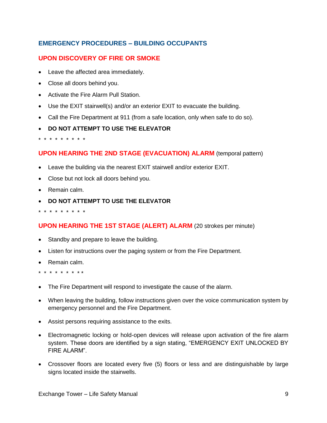### <span id="page-10-0"></span>**UPON DISCOVERY OF FIRE OR SMOKE**

- Leave the affected area immediately.
- Close all doors behind you.
- Activate the Fire Alarm Pull Station.
- Use the EXIT stairwell(s) and/or an exterior EXIT to evacuate the building.
- Call the Fire Department at 911 (from a safe location, only when safe to do so).
- **DO NOT ATTEMPT TO USE THE ELEVATOR**

\* \* \* \* \* \* \* \* \*

### **UPON HEARING THE 2ND STAGE (EVACUATION) ALARM** (temporal pattern)

- Leave the building via the nearest EXIT stairwell and/or exterior EXIT.
- Close but not lock all doors behind you.
- Remain calm.
- **DO NOT ATTEMPT TO USE THE ELEVATOR**

\* \* \* \* \* \* \* \* \*

### **UPON HEARING THE 1ST STAGE (ALERT) ALARM** (20 strokes per minute)

- Standby and prepare to leave the building.
- Listen for instructions over the paging system or from the Fire Department.
- Remain calm.
- \* \* \* \* \* \* \* \* \*
- The Fire Department will respond to investigate the cause of the alarm.
- When leaving the building, follow instructions given over the voice communication system by emergency personnel and the Fire Department.
- Assist persons requiring assistance to the exits.
- Electromagnetic locking or hold-open devices will release upon activation of the fire alarm system. These doors are identified by a sign stating, "EMERGENCY EXIT UNLOCKED BY FIRE ALARM".
- Crossover floors are located every five (5) floors or less and are distinguishable by large signs located inside the stairwells.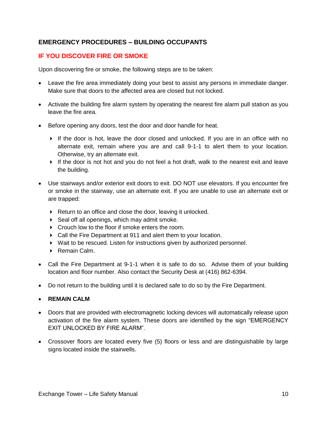### **IF YOU DISCOVER FIRE OR SMOKE**

Upon discovering fire or smoke, the following steps are to be taken:

- Leave the fire area immediately doing your best to assist any persons in immediate danger. Make sure that doors to the affected area are closed but not locked.
- Activate the building fire alarm system by operating the nearest fire alarm pull station as you leave the fire area.
- Before opening any doors, test the door and door handle for heat.
	- If the door is hot, leave the door closed and unlocked. If you are in an office with no alternate exit, remain where you are and call 9-1-1 to alert them to your location. Otherwise, try an alternate exit.
	- If the door is not hot and you do not feel a hot draft, walk to the nearest exit and leave the building.
- Use stairways and/or exterior exit doors to exit. DO NOT use elevators. If you encounter fire or smoke in the stairway, use an alternate exit. If you are unable to use an alternate exit or are trapped:
	- ▶ Return to an office and close the door, leaving it unlocked.
	- $\triangleright$  Seal off all openings, which may admit smoke.
	- Crouch low to the floor if smoke enters the room.
	- Call the Fire Department at 911 and alert them to your location.
	- Wait to be rescued. Listen for instructions given by authorized personnel.
	- ▶ Remain Calm.
- Call the Fire Department at 9-1-1 when it is safe to do so. Advise them of your building location and floor number. Also contact the Security Desk at (416) 862-6394.
- Do not return to the building until it is declared safe to do so by the Fire Department.
- **REMAIN CALM**
- Doors that are provided with electromagnetic locking devices will automatically release upon activation of the fire alarm system. These doors are identified by the sign "EMERGENCY EXIT UNLOCKED BY FIRE ALARM".
- Crossover floors are located every five (5) floors or less and are distinguishable by large signs located inside the stairwells.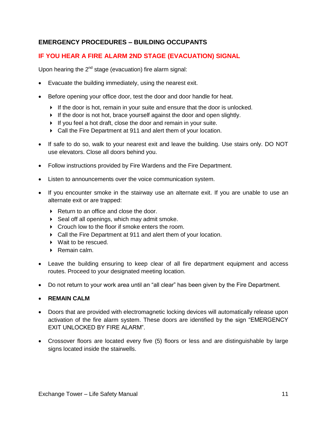# **IF YOU HEAR A FIRE ALARM 2ND STAGE (EVACUATION) SIGNAL**

Upon hearing the  $2^{nd}$  stage (evacuation) fire alarm signal:

- Evacuate the building immediately, using the nearest exit.
- Before opening your office door, test the door and door handle for heat.
	- $\blacktriangleright$  If the door is hot, remain in your suite and ensure that the door is unlocked.
	- If the door is not hot, brace yourself against the door and open slightly.
	- If you feel a hot draft, close the door and remain in your suite.
	- Call the Fire Department at 911 and alert them of your location.
- If safe to do so, walk to your nearest exit and leave the building. Use stairs only. DO NOT use elevators. Close all doors behind you.
- Follow instructions provided by Fire Wardens and the Fire Department.
- Listen to announcements over the voice communication system.
- If you encounter smoke in the stairway use an alternate exit. If you are unable to use an alternate exit or are trapped:
	- $\blacktriangleright$  Return to an office and close the door.
	- ▶ Seal off all openings, which may admit smoke.
	- Crouch low to the floor if smoke enters the room.
	- Call the Fire Department at 911 and alert them of your location.
	- ▶ Wait to be rescued.
	- ▶ Remain calm.
- Leave the building ensuring to keep clear of all fire department equipment and access routes. Proceed to your designated meeting location.
- Do not return to your work area until an "all clear" has been given by the Fire Department.
- **REMAIN CALM**
- Doors that are provided with electromagnetic locking devices will automatically release upon activation of the fire alarm system. These doors are identified by the sign "EMERGENCY EXIT UNLOCKED BY FIRE ALARM".
- Crossover floors are located every five (5) floors or less and are distinguishable by large signs located inside the stairwells.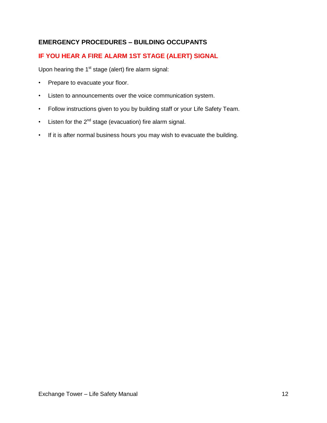# **IF YOU HEAR A FIRE ALARM 1ST STAGE (ALERT) SIGNAL**

Upon hearing the  $1<sup>st</sup>$  stage (alert) fire alarm signal:

- Prepare to evacuate your floor.
- Listen to announcements over the voice communication system.
- Follow instructions given to you by building staff or your Life Safety Team.
- Listen for the  $2^{nd}$  stage (evacuation) fire alarm signal.
- If it is after normal business hours you may wish to evacuate the building.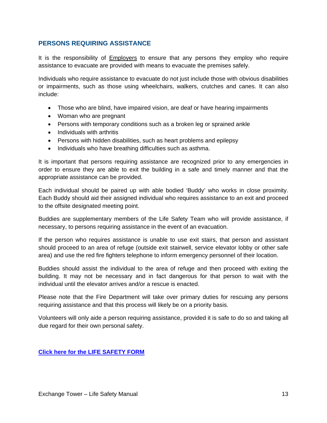### <span id="page-14-0"></span>**PERSONS REQUIRING ASSISTANCE**

It is the responsibility of Employers to ensure that any persons they employ who require assistance to evacuate are provided with means to evacuate the premises safely.

Individuals who require assistance to evacuate do not just include those with obvious disabilities or impairments, such as those using wheelchairs, walkers, crutches and canes. It can also include:

- Those who are blind, have impaired vision, are deaf or have hearing impairments
- Woman who are pregnant
- Persons with temporary conditions such as a broken leg or sprained ankle
- Individuals with arthritis
- Persons with hidden disabilities, such as heart problems and epilepsy
- Individuals who have breathing difficulties such as asthma.

It is important that persons requiring assistance are recognized prior to any emergencies in order to ensure they are able to exit the building in a safe and timely manner and that the appropriate assistance can be provided.

Each individual should be paired up with able bodied 'Buddy' who works in close proximity. Each Buddy should aid their assigned individual who requires assistance to an exit and proceed to the offsite designated meeting point.

Buddies are supplementary members of the Life Safety Team who will provide assistance, if necessary, to persons requiring assistance in the event of an evacuation.

If the person who requires assistance is unable to use exit stairs, that person and assistant should proceed to an area of refuge (outside exit stairwell, service elevator lobby or other safe area) and use the red fire fighters telephone to inform emergency personnel of their location.

Buddies should assist the individual to the area of refuge and then proceed with exiting the building. It may not be necessary and in fact dangerous for that person to wait with the individual until the elevator arrives and/or a rescue is enacted.

Please note that the Fire Department will take over primary duties for rescuing any persons requiring assistance and that this process will likely be on a priority basis.

Volunteers will only aide a person requiring assistance, provided it is safe to do so and taking all due regard for their own personal safety.

**[Click here for the LIFE SAFETY FORM](http://www.brookfieldofficeproperties.com/_Global/25/documents/relatedlinks/2412.pdf)**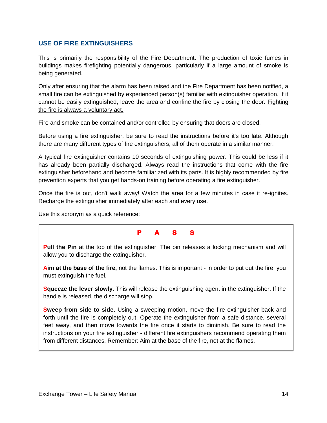### <span id="page-15-0"></span>**USE OF FIRE EXTINGUISHERS**

This is primarily the responsibility of the Fire Department. The production of toxic fumes in buildings makes firefighting potentially dangerous, particularly if a large amount of smoke is being generated.

Only after ensuring that the alarm has been raised and the Fire Department has been notified, a small fire can be extinguished by experienced person(s) familiar with extinguisher operation. If it cannot be easily extinguished, leave the area and confine the fire by closing the door. Fighting the fire is always a voluntary act.

Fire and smoke can be contained and/or controlled by ensuring that doors are closed.

Before using a fire extinguisher, be sure to read the instructions before it's too late. Although there are many different types of fire extinguishers, all of them operate in a similar manner.

A typical fire extinguisher contains 10 seconds of extinguishing power. This could be less if it has already been partially discharged. Always read the instructions that come with the fire extinguisher beforehand and become familiarized with its parts. It is highly recommended by fire prevention experts that you get hands-on training before operating a fire extinguisher.

Once the fire is out, don't walk away! Watch the area for a few minutes in case it re-ignites. Recharge the extinguisher immediately after each and every use.

Use this acronym as a quick reference:

### P A S S

**Pull the Pin** at the top of the extinguisher. The pin releases a locking mechanism and will allow you to discharge the extinguisher.

**Aim at the base of the fire,** not the flames. This is important - in order to put out the fire, you must extinguish the fuel.

**Squeeze the lever slowly.** This will release the extinguishing agent in the extinguisher. If the handle is released, the discharge will stop.

**Sweep from side to side.** Using a sweeping motion, move the fire extinguisher back and forth until the fire is completely out. Operate the extinguisher from a safe distance, several feet away, and then move towards the fire once it starts to diminish. Be sure to read the instructions on your fire extinguisher - different fire extinguishers recommend operating them from different distances. Remember: Aim at the base of the fire, not at the flames.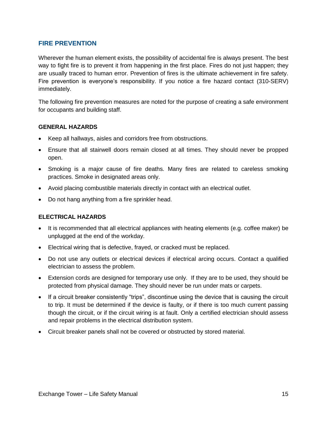### <span id="page-16-0"></span>**FIRE PREVENTION**

Wherever the human element exists, the possibility of accidental fire is always present. The best way to fight fire is to prevent it from happening in the first place. Fires do not just happen; they are usually traced to human error. Prevention of fires is the ultimate achievement in fire safety. Fire prevention is everyone's responsibility. If you notice a fire hazard contact (310-SERV) immediately.

The following fire prevention measures are noted for the purpose of creating a safe environment for occupants and building staff.

#### **GENERAL HAZARDS**

- Keep all hallways, aisles and corridors free from obstructions.
- Ensure that all stairwell doors remain closed at all times. They should never be propped open.
- Smoking is a major cause of fire deaths. Many fires are related to careless smoking practices. Smoke in designated areas only.
- Avoid placing combustible materials directly in contact with an electrical outlet.
- Do not hang anything from a fire sprinkler head.

#### **ELECTRICAL HAZARDS**

- It is recommended that all electrical appliances with heating elements (e.g. coffee maker) be unplugged at the end of the workday.
- Electrical wiring that is defective, frayed, or cracked must be replaced.
- Do not use any outlets or electrical devices if electrical arcing occurs. Contact a qualified electrician to assess the problem.
- Extension cords are designed for temporary use only. If they are to be used, they should be protected from physical damage. They should never be run under mats or carpets.
- If a circuit breaker consistently "trips", discontinue using the device that is causing the circuit to trip. It must be determined if the device is faulty, or if there is too much current passing though the circuit, or if the circuit wiring is at fault. Only a certified electrician should assess and repair problems in the electrical distribution system.
- Circuit breaker panels shall not be covered or obstructed by stored material.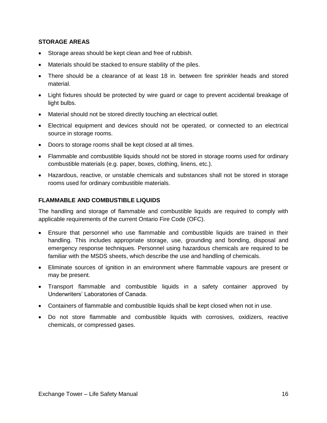#### **STORAGE AREAS**

- Storage areas should be kept clean and free of rubbish.
- Materials should be stacked to ensure stability of the piles.
- There should be a clearance of at least 18 in. between fire sprinkler heads and stored material.
- Light fixtures should be protected by wire guard or cage to prevent accidental breakage of light bulbs.
- Material should not be stored directly touching an electrical outlet.
- Electrical equipment and devices should not be operated, or connected to an electrical source in storage rooms.
- Doors to storage rooms shall be kept closed at all times.
- Flammable and combustible liquids should not be stored in storage rooms used for ordinary combustible materials (e.g. paper, boxes, clothing, linens, etc.).
- Hazardous, reactive, or unstable chemicals and substances shall not be stored in storage rooms used for ordinary combustible materials.

#### **FLAMMABLE AND COMBUSTIBLE LIQUIDS**

The handling and storage of flammable and combustible liquids are required to comply with applicable requirements of the current Ontario Fire Code (OFC).

- Ensure that personnel who use flammable and combustible liquids are trained in their handling. This includes appropriate storage, use, grounding and bonding, disposal and emergency response techniques. Personnel using hazardous chemicals are required to be familiar with the MSDS sheets, which describe the use and handling of chemicals.
- Eliminate sources of ignition in an environment where flammable vapours are present or may be present.
- Transport flammable and combustible liquids in a safety container approved by Underwriters' Laboratories of Canada.
- Containers of flammable and combustible liquids shall be kept closed when not in use.
- Do not store flammable and combustible liquids with corrosives, oxidizers, reactive chemicals, or compressed gases.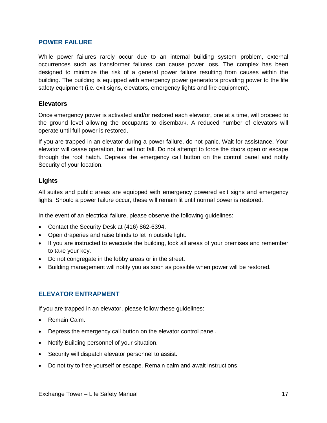#### <span id="page-18-0"></span>**POWER FAILURE**

While power failures rarely occur due to an internal building system problem, external occurrences such as transformer failures can cause power loss. The complex has been designed to minimize the risk of a general power failure resulting from causes within the building. The building is equipped with emergency power generators providing power to the life safety equipment (i.e. exit signs, elevators, emergency lights and fire equipment).

#### **Elevators**

Once emergency power is activated and/or restored each elevator, one at a time, will proceed to the ground level allowing the occupants to disembark. A reduced number of elevators will operate until full power is restored.

If you are trapped in an elevator during a power failure, do not panic. Wait for assistance. Your elevator will cease operation, but will not fall. Do not attempt to force the doors open or escape through the roof hatch. Depress the emergency call button on the control panel and notify Security of your location.

#### **Lights**

All suites and public areas are equipped with emergency powered exit signs and emergency lights. Should a power failure occur, these will remain lit until normal power is restored.

In the event of an electrical failure, please observe the following guidelines:

- Contact the Security Desk at (416) 862-6394.
- Open draperies and raise blinds to let in outside light.
- If you are instructed to evacuate the building, lock all areas of your premises and remember to take your key.
- Do not congregate in the lobby areas or in the street.
- Building management will notify you as soon as possible when power will be restored.

### <span id="page-18-1"></span>**ELEVATOR ENTRAPMENT**

If you are trapped in an elevator, please follow these guidelines:

- Remain Calm.
- Depress the emergency call button on the elevator control panel.
- Notify Building personnel of your situation.
- Security will dispatch elevator personnel to assist.
- Do not try to free yourself or escape. Remain calm and await instructions.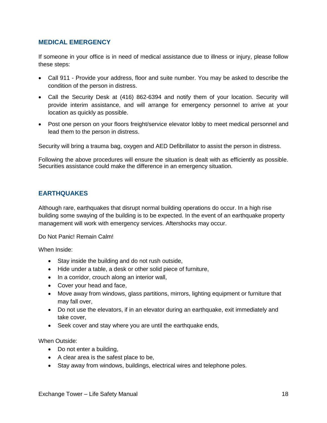### <span id="page-19-0"></span>**MEDICAL EMERGENCY**

If someone in your office is in need of medical assistance due to illness or injury, please follow these steps:

- Call 911 Provide your address, floor and suite number. You may be asked to describe the condition of the person in distress.
- Call the Security Desk at (416) 862-6394 and notify them of your location. Security will provide interim assistance, and will arrange for emergency personnel to arrive at your location as quickly as possible.
- Post one person on your floors freight/service elevator lobby to meet medical personnel and lead them to the person in distress.

Security will bring a trauma bag, oxygen and AED Defibrillator to assist the person in distress.

Following the above procedures will ensure the situation is dealt with as efficiently as possible. Securities assistance could make the difference in an emergency situation.

### <span id="page-19-1"></span>**EARTHQUAKES**

Although rare, earthquakes that disrupt normal building operations do occur. In a high rise building some swaying of the building is to be expected. In the event of an earthquake property management will work with emergency services. Aftershocks may occur.

Do Not Panic! Remain Calm!

When Inside:

- Stay inside the building and do not rush outside,
- Hide under a table, a desk or other solid piece of furniture,
- In a corridor, crouch along an interior wall,
- Cover your head and face,
- Move away from windows, glass partitions, mirrors, lighting equipment or furniture that may fall over,
- Do not use the elevators, if in an elevator during an earthquake, exit immediately and take cover,
- Seek cover and stay where you are until the earthquake ends,

When Outside:

- Do not enter a building,
- A clear area is the safest place to be,
- Stay away from windows, buildings, electrical wires and telephone poles.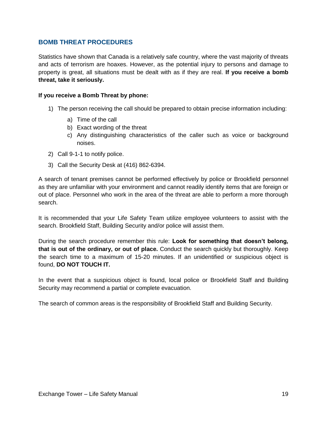### <span id="page-20-0"></span>**BOMB THREAT PROCEDURES**

Statistics have shown that Canada is a relatively safe country, where the vast majority of threats and acts of terrorism are hoaxes. However, as the potential injury to persons and damage to property is great, all situations must be dealt with as if they are real. **If you receive a bomb threat, take it seriously.**

#### **If you receive a Bomb Threat by phone:**

- 1) The person receiving the call should be prepared to obtain precise information including:
	- a) Time of the call
	- b) Exact wording of the threat
	- c) Any distinguishing characteristics of the caller such as voice or background noises.
- 2) Call 9-1-1 to notify police.
- 3) Call the Security Desk at (416) 862-6394.

A search of tenant premises cannot be performed effectively by police or Brookfield personnel as they are unfamiliar with your environment and cannot readily identify items that are foreign or out of place. Personnel who work in the area of the threat are able to perform a more thorough search.

It is recommended that your Life Safety Team utilize employee volunteers to assist with the search. Brookfield Staff, Building Security and/or police will assist them.

During the search procedure remember this rule: **Look for something that doesn't belong, that is out of the ordinary, or out of place.** Conduct the search quickly but thoroughly. Keep the search time to a maximum of 15-20 minutes. If an unidentified or suspicious object is found, **DO NOT TOUCH IT.**

In the event that a suspicious object is found, local police or Brookfield Staff and Building Security may recommend a partial or complete evacuation.

The search of common areas is the responsibility of Brookfield Staff and Building Security.